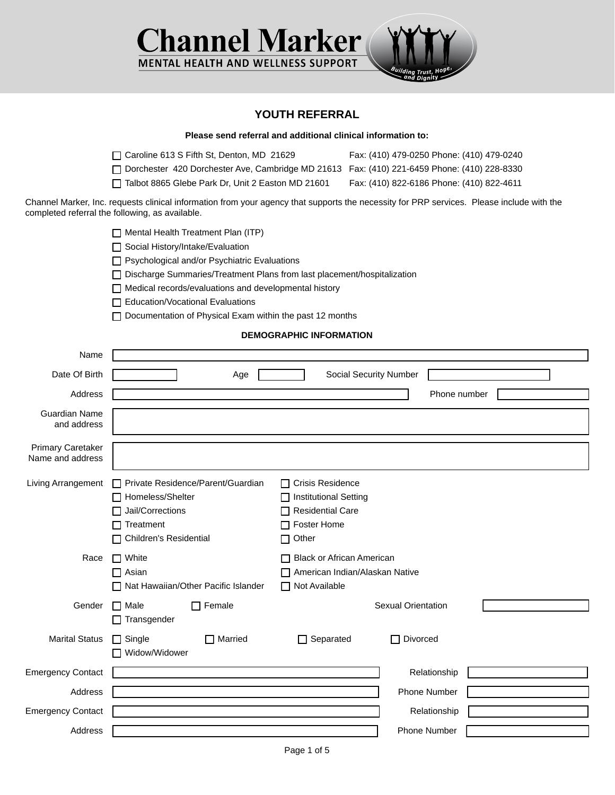

## **YOUTH REFERRAL**

|                                              |                                                                                                                                                                                                                                                                                                                                                                            | Please send referral and additional clinical information to:                                            |                                                                                                                                           |  |  |  |
|----------------------------------------------|----------------------------------------------------------------------------------------------------------------------------------------------------------------------------------------------------------------------------------------------------------------------------------------------------------------------------------------------------------------------------|---------------------------------------------------------------------------------------------------------|-------------------------------------------------------------------------------------------------------------------------------------------|--|--|--|
|                                              | Caroline 613 S Fifth St, Denton, MD 21629<br>Dorchester 420 Dorchester Ave, Cambridge MD 21613 Fax: (410) 221-6459 Phone: (410) 228-8330<br>Talbot 8865 Glebe Park Dr, Unit 2 Easton MD 21601                                                                                                                                                                              |                                                                                                         | Fax: (410) 479-0250 Phone: (410) 479-0240<br>Fax: (410) 822-6186 Phone: (410) 822-4611                                                    |  |  |  |
|                                              | completed referral the following, as available.                                                                                                                                                                                                                                                                                                                            |                                                                                                         | Channel Marker, Inc. requests clinical information from your agency that supports the necessity for PRP services. Please include with the |  |  |  |
|                                              | $\Box$ Mental Health Treatment Plan (ITP)<br>Social History/Intake/Evaluation<br>Psychological and/or Psychiatric Evaluations<br>□ Discharge Summaries/Treatment Plans from last placement/hospitalization<br>Medical records/evaluations and developmental history<br><b>Education/Vocational Evaluations</b><br>Documentation of Physical Exam within the past 12 months |                                                                                                         |                                                                                                                                           |  |  |  |
| <b>DEMOGRAPHIC INFORMATION</b>               |                                                                                                                                                                                                                                                                                                                                                                            |                                                                                                         |                                                                                                                                           |  |  |  |
| Name<br>Date Of Birth                        | Age                                                                                                                                                                                                                                                                                                                                                                        | Social Security Number                                                                                  |                                                                                                                                           |  |  |  |
| Address                                      |                                                                                                                                                                                                                                                                                                                                                                            |                                                                                                         | Phone number                                                                                                                              |  |  |  |
| <b>Guardian Name</b><br>and address          |                                                                                                                                                                                                                                                                                                                                                                            |                                                                                                         |                                                                                                                                           |  |  |  |
| <b>Primary Caretaker</b><br>Name and address |                                                                                                                                                                                                                                                                                                                                                                            |                                                                                                         |                                                                                                                                           |  |  |  |
| Living Arrangement                           | Private Residence/Parent/Guardian<br>$\mathbf{1}$<br>Homeless/Shelter<br>Jail/Corrections<br>Treatment<br><b>Children's Residential</b>                                                                                                                                                                                                                                    | □ Crisis Residence<br>□ Institutional Setting<br><b>Residential Care</b><br><b>Foster Home</b><br>Other |                                                                                                                                           |  |  |  |
| Race                                         | White<br>$\mathsf{L}$<br>Asian<br>Nat Hawaiian/Other Pacific Islander                                                                                                                                                                                                                                                                                                      | <b>Black or African American</b><br>American Indian/Alaskan Native<br>□ Not Available                   |                                                                                                                                           |  |  |  |
| Gender                                       | $\Box$ Female<br>Male<br>Transgender                                                                                                                                                                                                                                                                                                                                       |                                                                                                         | <b>Sexual Orientation</b>                                                                                                                 |  |  |  |
| <b>Marital Status</b>                        | □ Married<br>$\Box$ Single<br>Widow/Widower                                                                                                                                                                                                                                                                                                                                | $\Box$ Separated                                                                                        | □ Divorced                                                                                                                                |  |  |  |
| <b>Emergency Contact</b>                     |                                                                                                                                                                                                                                                                                                                                                                            |                                                                                                         | Relationship                                                                                                                              |  |  |  |
| Address                                      |                                                                                                                                                                                                                                                                                                                                                                            |                                                                                                         | Phone Number                                                                                                                              |  |  |  |
| <b>Emergency Contact</b>                     |                                                                                                                                                                                                                                                                                                                                                                            |                                                                                                         | Relationship                                                                                                                              |  |  |  |
| Address                                      |                                                                                                                                                                                                                                                                                                                                                                            |                                                                                                         | Phone Number                                                                                                                              |  |  |  |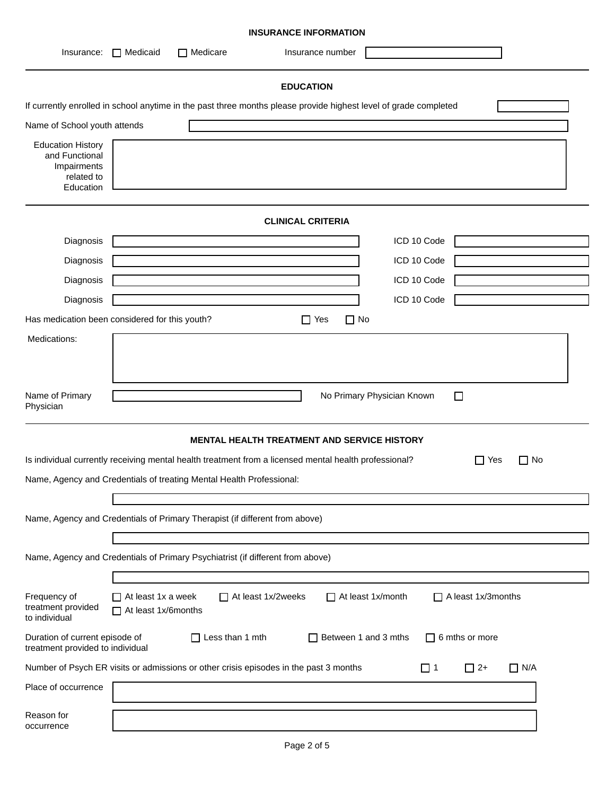| <b>INSURANCE INFORMATION</b>                                                                                            |                                                  |                                                                                |                                                                                                                  |             |                         |  |
|-------------------------------------------------------------------------------------------------------------------------|--------------------------------------------------|--------------------------------------------------------------------------------|------------------------------------------------------------------------------------------------------------------|-------------|-------------------------|--|
| Insurance:                                                                                                              | Medicaid                                         | $\Box$ Medicare                                                                | Insurance number                                                                                                 |             |                         |  |
|                                                                                                                         |                                                  |                                                                                | <b>EDUCATION</b>                                                                                                 |             |                         |  |
|                                                                                                                         |                                                  |                                                                                | If currently enrolled in school anytime in the past three months please provide highest level of grade completed |             |                         |  |
| Name of School youth attends                                                                                            |                                                  |                                                                                |                                                                                                                  |             |                         |  |
| <b>Education History</b><br>and Functional<br>Impairments<br>related to<br>Education                                    |                                                  |                                                                                |                                                                                                                  |             |                         |  |
|                                                                                                                         |                                                  |                                                                                | <b>CLINICAL CRITERIA</b>                                                                                         |             |                         |  |
| Diagnosis                                                                                                               |                                                  |                                                                                |                                                                                                                  | ICD 10 Code |                         |  |
| Diagnosis                                                                                                               |                                                  |                                                                                |                                                                                                                  | ICD 10 Code |                         |  |
| Diagnosis                                                                                                               |                                                  |                                                                                |                                                                                                                  | ICD 10 Code |                         |  |
| Diagnosis                                                                                                               |                                                  |                                                                                |                                                                                                                  | ICD 10 Code |                         |  |
| Has medication been considered for this youth?                                                                          |                                                  |                                                                                | $\Box$ No<br>$\Box$ Yes                                                                                          |             |                         |  |
| Medications:                                                                                                            |                                                  |                                                                                |                                                                                                                  |             |                         |  |
| Name of Primary<br>No Primary Physician Known<br>□<br>Physician<br><b>MENTAL HEALTH TREATMENT AND SERVICE HISTORY</b>   |                                                  |                                                                                |                                                                                                                  |             |                         |  |
|                                                                                                                         |                                                  |                                                                                | Is individual currently receiving mental health treatment from a licensed mental health professional?            |             | $\Box$ Yes<br>$\Box$ No |  |
|                                                                                                                         |                                                  | Name, Agency and Credentials of treating Mental Health Professional:           |                                                                                                                  |             |                         |  |
|                                                                                                                         |                                                  |                                                                                |                                                                                                                  |             |                         |  |
|                                                                                                                         |                                                  | Name, Agency and Credentials of Primary Therapist (if different from above)    |                                                                                                                  |             |                         |  |
|                                                                                                                         |                                                  |                                                                                |                                                                                                                  |             |                         |  |
|                                                                                                                         |                                                  | Name, Agency and Credentials of Primary Psychiatrist (if different from above) |                                                                                                                  |             |                         |  |
|                                                                                                                         |                                                  |                                                                                |                                                                                                                  |             |                         |  |
| Frequency of<br>treatment provided<br>to individual                                                                     | $\Box$ At least 1x a week<br>At least 1x/6months | At least 1x/2weeks                                                             | $\Box$ At least 1x/month                                                                                         |             | A least 1x/3months      |  |
| Duration of current episode of<br>treatment provided to individual                                                      |                                                  | $\Box$ Less than 1 mth                                                         | $\Box$ Between 1 and 3 mths                                                                                      |             | $\Box$ 6 mths or more   |  |
| Number of Psych ER visits or admissions or other crisis episodes in the past 3 months<br>$\Box$ 2+<br>$\Box$ N/A<br>□ 1 |                                                  |                                                                                |                                                                                                                  |             |                         |  |
| Place of occurrence                                                                                                     |                                                  |                                                                                |                                                                                                                  |             |                         |  |
| Reason for<br>occurrence                                                                                                |                                                  |                                                                                |                                                                                                                  |             |                         |  |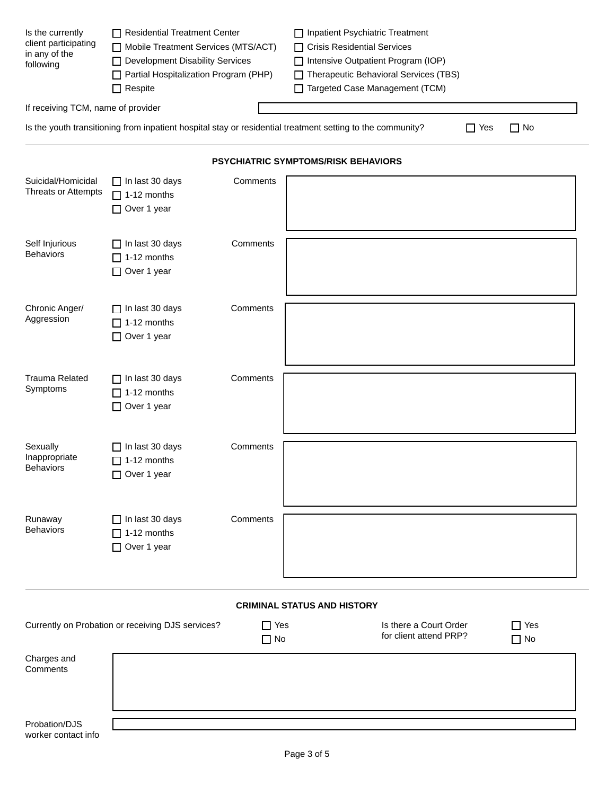| Is the currently<br>client participating<br>in any of the<br>following | Residential Treatment Center<br>Mobile Treatment Services (MTS/ACT)<br>Development Disability Services<br>Partial Hospitalization Program (PHP)<br>$\Box$ Respite |                         | □ Inpatient Psychiatric Treatment<br>□ Crisis Residential Services<br>□ Intensive Outpatient Program (IOP)<br>Therapeutic Behavioral Services (TBS)<br>Targeted Case Management (TCM) |            |                         |
|------------------------------------------------------------------------|-------------------------------------------------------------------------------------------------------------------------------------------------------------------|-------------------------|---------------------------------------------------------------------------------------------------------------------------------------------------------------------------------------|------------|-------------------------|
| If receiving TCM, name of provider                                     |                                                                                                                                                                   |                         |                                                                                                                                                                                       |            |                         |
|                                                                        |                                                                                                                                                                   |                         | Is the youth transitioning from inpatient hospital stay or residential treatment setting to the community?                                                                            | $\Box$ Yes | $\Box$ No               |
|                                                                        |                                                                                                                                                                   |                         | <b>PSYCHIATRIC SYMPTOMS/RISK BEHAVIORS</b>                                                                                                                                            |            |                         |
| Suicidal/Homicidal<br>Threats or Attempts                              | $\Box$ In last 30 days<br>$\Box$ 1-12 months<br>Over 1 year                                                                                                       | Comments                |                                                                                                                                                                                       |            |                         |
| Self Injurious<br><b>Behaviors</b>                                     | $\Box$ In last 30 days<br>$\Box$ 1-12 months<br>Over 1 year                                                                                                       | Comments                |                                                                                                                                                                                       |            |                         |
| Chronic Anger/<br>Aggression                                           | $\Box$ In last 30 days<br>$\Box$ 1-12 months<br>□ Over 1 year                                                                                                     | Comments                |                                                                                                                                                                                       |            |                         |
| <b>Trauma Related</b><br>Symptoms                                      | $\Box$ In last 30 days<br>$\Box$ 1-12 months<br>□ Over 1 year                                                                                                     | Comments                |                                                                                                                                                                                       |            |                         |
| Sexually<br>Inappropriate<br><b>Behaviors</b>                          | $\Box$ In last 30 days<br>$\Box$ 1-12 months<br>Over 1 year                                                                                                       | Comments                |                                                                                                                                                                                       |            |                         |
| Runaway<br><b>Behaviors</b>                                            | $\Box$ In last 30 days<br>$\Box$ 1-12 months<br>Over 1 year                                                                                                       | Comments                |                                                                                                                                                                                       |            |                         |
|                                                                        |                                                                                                                                                                   |                         | <b>CRIMINAL STATUS AND HISTORY</b>                                                                                                                                                    |            |                         |
|                                                                        | Currently on Probation or receiving DJS services?                                                                                                                 | $\Box$ Yes<br>$\Box$ No | Is there a Court Order<br>for client attend PRP?                                                                                                                                      |            | $\Box$ Yes<br>$\Box$ No |
| Charges and<br>Comments                                                |                                                                                                                                                                   |                         |                                                                                                                                                                                       |            |                         |
| Probation/DJS                                                          |                                                                                                                                                                   |                         |                                                                                                                                                                                       |            |                         |

| worker contact info |  |
|---------------------|--|
|                     |  |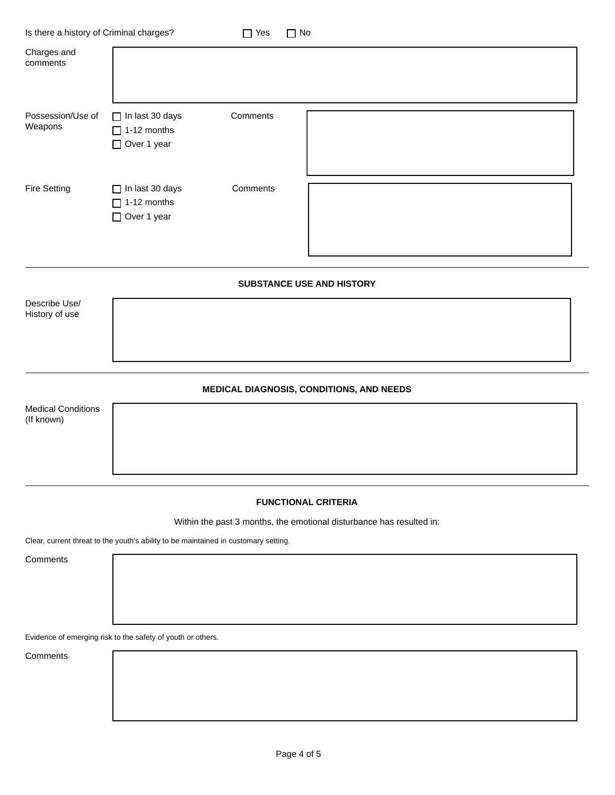| Is there a history of Criminal charges? |                                                               | $\Box$ Yes | $\Box$ No                 |
|-----------------------------------------|---------------------------------------------------------------|------------|---------------------------|
| Charges and<br>comments                 |                                                               |            |                           |
| Possession/Use of<br>Weapons            | $\Box$ In last 30 days<br>$\Box$ 1-12 months<br>□ Over 1 year | Comments   |                           |
| <b>Fire Setting</b>                     | $\Box$ In last 30 days<br>$\Box$ 1-12 months<br>□ Over 1 year | Comments   |                           |
|                                         |                                                               |            | SUBSTANCE USE AND HISTORY |
| Describe Use/<br>History of use         |                                                               |            |                           |

## **MEDICAL DIAGNOSIS, CONDITIONS, AND NEEDS**

Medical Conditions (If known)

## **FUNCTIONAL CRITERIA**

Within the past 3 months, the emotional disturbance has resulted in:

Clear, current threat to the youth's ability to be maintained in customary setting.

**Comments** 

Evidence of emerging risk to the safety of youth or others.

Comments